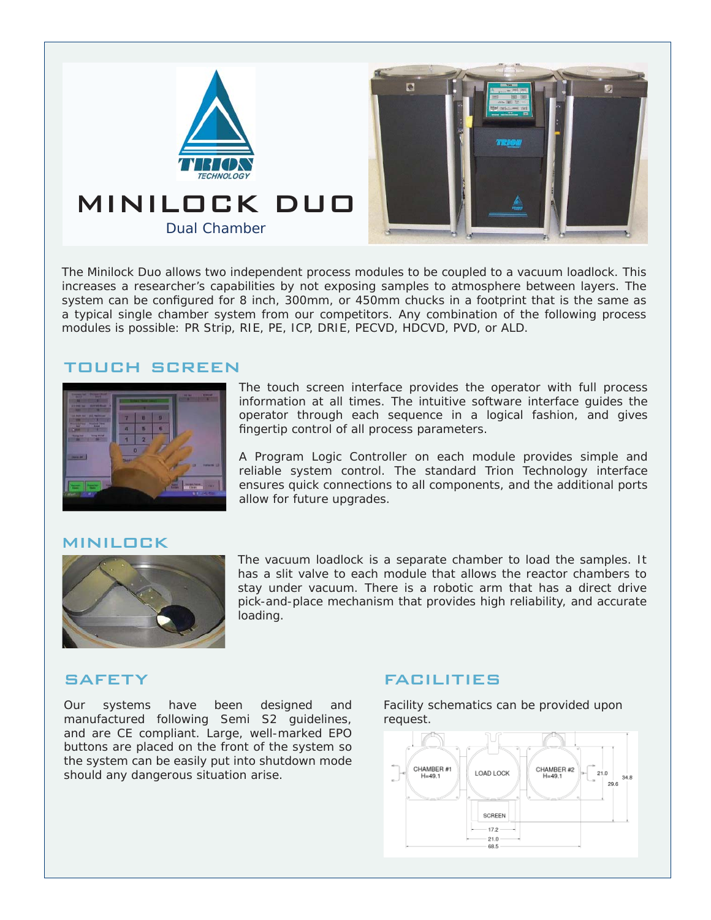

The Minilock Duo allows two independent process modules to be coupled to a vacuum loadlock. This increases a researcher's capabilities by not exposing samples to atmosphere between layers. The system can be configured for 8 inch, 300mm, or 450mm chucks in a footprint that is the same as a typical single chamber system from our competitors. Any combination of the following process modules is possible: PR Strip, RIE, PE, ICP, DRIE, PECVD, HDCVD, PVD, or ALD.

### touch screen



The touch screen interface provides the operator with full process information at all times. The intuitive software interface guides the operator through each sequence in a logical fashion, and gives fingertip control of all process parameters.

A Program Logic Controller on each module provides simple and reliable system control. The standard Trion Technology interface ensures quick connections to all components, and the additional ports allow for future upgrades.

#### minilock



The vacuum loadlock is a separate chamber to load the samples. It has a slit valve to each module that allows the reactor chambers to stay under vacuum. There is a robotic arm that has a direct drive pick-and-place mechanism that provides high reliability, and accurate loading.

### **SAFETY**

Our systems have been designed and manufactured following Semi S2 guidelines, and are CE compliant. Large, well-marked EPO buttons are placed on the front of the system so the system can be easily put into shutdown mode should any dangerous situation arise.

## facilities

Facility schematics can be provided upon request.